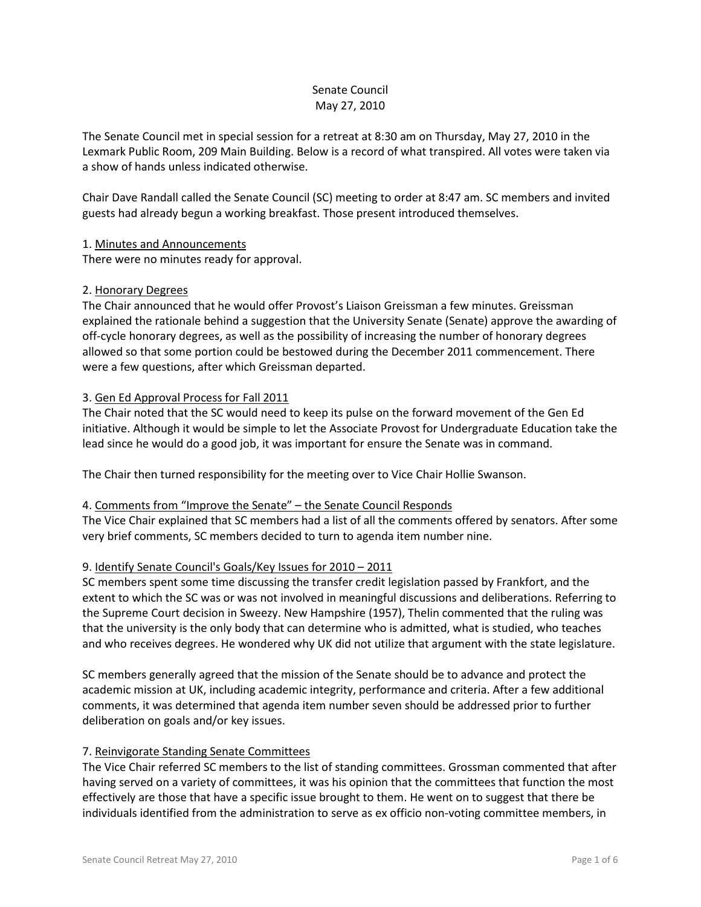# Senate Council May 27, 2010

The Senate Council met in special session for a retreat at 8:30 am on Thursday, May 27, 2010 in the Lexmark Public Room, 209 Main Building. Below is a record of what transpired. All votes were taken via a show of hands unless indicated otherwise.

Chair Dave Randall called the Senate Council (SC) meeting to order at 8:47 am. SC members and invited guests had already begun a working breakfast. Those present introduced themselves.

## 1. Minutes and Announcements

There were no minutes ready for approval.

### 2. Honorary Degrees

The Chair announced that he would offer Provost's Liaison Greissman a few minutes. Greissman explained the rationale behind a suggestion that the University Senate (Senate) approve the awarding of off-cycle honorary degrees, as well as the possibility of increasing the number of honorary degrees allowed so that some portion could be bestowed during the December 2011 commencement. There were a few questions, after which Greissman departed.

### 3. Gen Ed Approval Process for Fall 2011

The Chair noted that the SC would need to keep its pulse on the forward movement of the Gen Ed initiative. Although it would be simple to let the Associate Provost for Undergraduate Education take the lead since he would do a good job, it was important for ensure the Senate was in command.

The Chair then turned responsibility for the meeting over to Vice Chair Hollie Swanson.

#### 4. Comments from "Improve the Senate" – the Senate Council Responds

The Vice Chair explained that SC members had a list of all the comments offered by senators. After some very brief comments, SC members decided to turn to agenda item number nine.

## 9. Identify Senate Council's Goals/Key Issues for 2010 – 2011

SC members spent some time discussing the transfer credit legislation passed by Frankfort, and the extent to which the SC was or was not involved in meaningful discussions and deliberations. Referring to the Supreme Court decision in Sweezy. New Hampshire (1957), Thelin commented that the ruling was that the university is the only body that can determine who is admitted, what is studied, who teaches and who receives degrees. He wondered why UK did not utilize that argument with the state legislature.

SC members generally agreed that the mission of the Senate should be to advance and protect the academic mission at UK, including academic integrity, performance and criteria. After a few additional comments, it was determined that agenda item number seven should be addressed prior to further deliberation on goals and/or key issues.

#### 7. Reinvigorate Standing Senate Committees

The Vice Chair referred SC members to the list of standing committees. Grossman commented that after having served on a variety of committees, it was his opinion that the committees that function the most effectively are those that have a specific issue brought to them. He went on to suggest that there be individuals identified from the administration to serve as ex officio non-voting committee members, in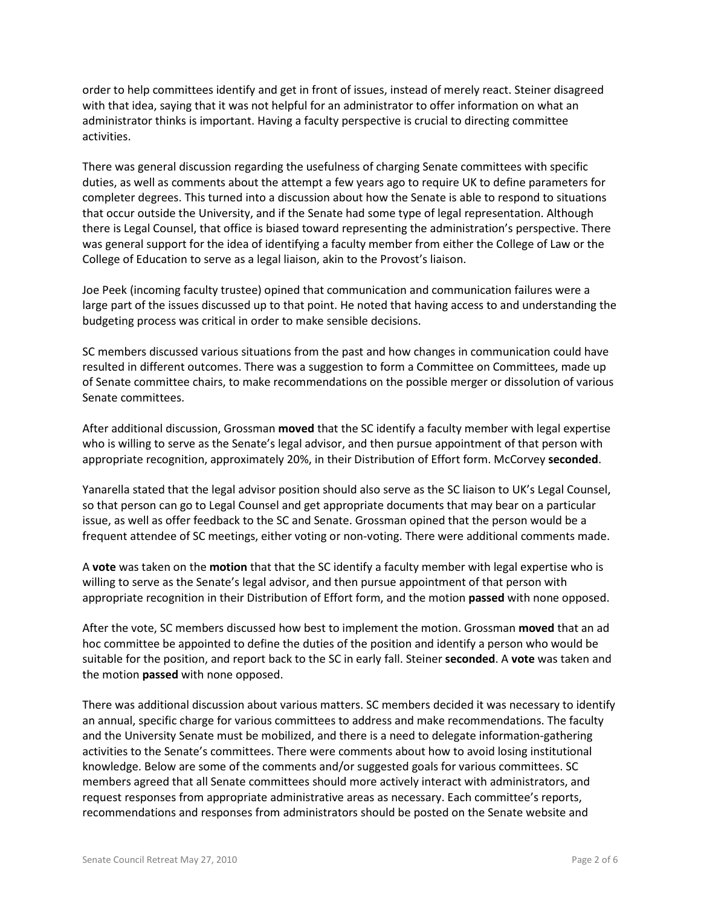order to help committees identify and get in front of issues, instead of merely react. Steiner disagreed with that idea, saying that it was not helpful for an administrator to offer information on what an administrator thinks is important. Having a faculty perspective is crucial to directing committee activities.

There was general discussion regarding the usefulness of charging Senate committees with specific duties, as well as comments about the attempt a few years ago to require UK to define parameters for completer degrees. This turned into a discussion about how the Senate is able to respond to situations that occur outside the University, and if the Senate had some type of legal representation. Although there is Legal Counsel, that office is biased toward representing the administration's perspective. There was general support for the idea of identifying a faculty member from either the College of Law or the College of Education to serve as a legal liaison, akin to the Provost's liaison.

Joe Peek (incoming faculty trustee) opined that communication and communication failures were a large part of the issues discussed up to that point. He noted that having access to and understanding the budgeting process was critical in order to make sensible decisions.

SC members discussed various situations from the past and how changes in communication could have resulted in different outcomes. There was a suggestion to form a Committee on Committees, made up of Senate committee chairs, to make recommendations on the possible merger or dissolution of various Senate committees.

After additional discussion, Grossman **moved** that the SC identify a faculty member with legal expertise who is willing to serve as the Senate's legal advisor, and then pursue appointment of that person with appropriate recognition, approximately 20%, in their Distribution of Effort form. McCorvey **seconded**.

Yanarella stated that the legal advisor position should also serve as the SC liaison to UK's Legal Counsel, so that person can go to Legal Counsel and get appropriate documents that may bear on a particular issue, as well as offer feedback to the SC and Senate. Grossman opined that the person would be a frequent attendee of SC meetings, either voting or non-voting. There were additional comments made.

A **vote** was taken on the **motion** that that the SC identify a faculty member with legal expertise who is willing to serve as the Senate's legal advisor, and then pursue appointment of that person with appropriate recognition in their Distribution of Effort form, and the motion **passed** with none opposed.

After the vote, SC members discussed how best to implement the motion. Grossman **moved** that an ad hoc committee be appointed to define the duties of the position and identify a person who would be suitable for the position, and report back to the SC in early fall. Steiner **seconded**. A **vote** was taken and the motion **passed** with none opposed.

There was additional discussion about various matters. SC members decided it was necessary to identify an annual, specific charge for various committees to address and make recommendations. The faculty and the University Senate must be mobilized, and there is a need to delegate information-gathering activities to the Senate's committees. There were comments about how to avoid losing institutional knowledge. Below are some of the comments and/or suggested goals for various committees. SC members agreed that all Senate committees should more actively interact with administrators, and request responses from appropriate administrative areas as necessary. Each committee's reports, recommendations and responses from administrators should be posted on the Senate website and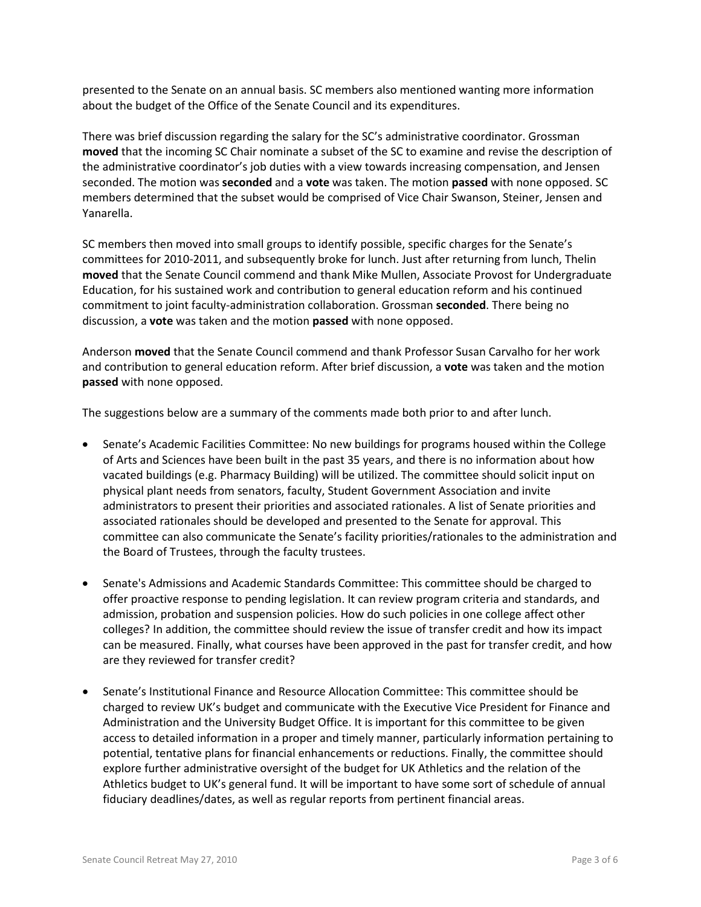presented to the Senate on an annual basis. SC members also mentioned wanting more information about the budget of the Office of the Senate Council and its expenditures.

There was brief discussion regarding the salary for the SC's administrative coordinator. Grossman **moved** that the incoming SC Chair nominate a subset of the SC to examine and revise the description of the administrative coordinator's job duties with a view towards increasing compensation, and Jensen seconded. The motion was **seconded** and a **vote** was taken. The motion **passed** with none opposed. SC members determined that the subset would be comprised of Vice Chair Swanson, Steiner, Jensen and Yanarella.

SC members then moved into small groups to identify possible, specific charges for the Senate's committees for 2010-2011, and subsequently broke for lunch. Just after returning from lunch, Thelin **moved** that the Senate Council commend and thank Mike Mullen, Associate Provost for Undergraduate Education, for his sustained work and contribution to general education reform and his continued commitment to joint faculty-administration collaboration. Grossman **seconded**. There being no discussion, a **vote** was taken and the motion **passed** with none opposed.

Anderson **moved** that the Senate Council commend and thank Professor Susan Carvalho for her work and contribution to general education reform. After brief discussion, a **vote** was taken and the motion **passed** with none opposed.

The suggestions below are a summary of the comments made both prior to and after lunch.

- Senate's Academic Facilities Committee: No new buildings for programs housed within the College of Arts and Sciences have been built in the past 35 years, and there is no information about how vacated buildings (e.g. Pharmacy Building) will be utilized. The committee should solicit input on physical plant needs from senators, faculty, Student Government Association and invite administrators to present their priorities and associated rationales. A list of Senate priorities and associated rationales should be developed and presented to the Senate for approval. This committee can also communicate the Senate's facility priorities/rationales to the administration and the Board of Trustees, through the faculty trustees.
- Senate's Admissions and Academic Standards Committee: This committee should be charged to offer proactive response to pending legislation. It can review program criteria and standards, and admission, probation and suspension policies. How do such policies in one college affect other colleges? In addition, the committee should review the issue of transfer credit and how its impact can be measured. Finally, what courses have been approved in the past for transfer credit, and how are they reviewed for transfer credit?
- Senate's Institutional Finance and Resource Allocation Committee: This committee should be charged to review UK's budget and communicate with the Executive Vice President for Finance and Administration and the University Budget Office. It is important for this committee to be given access to detailed information in a proper and timely manner, particularly information pertaining to potential, tentative plans for financial enhancements or reductions. Finally, the committee should explore further administrative oversight of the budget for UK Athletics and the relation of the Athletics budget to UK's general fund. It will be important to have some sort of schedule of annual fiduciary deadlines/dates, as well as regular reports from pertinent financial areas.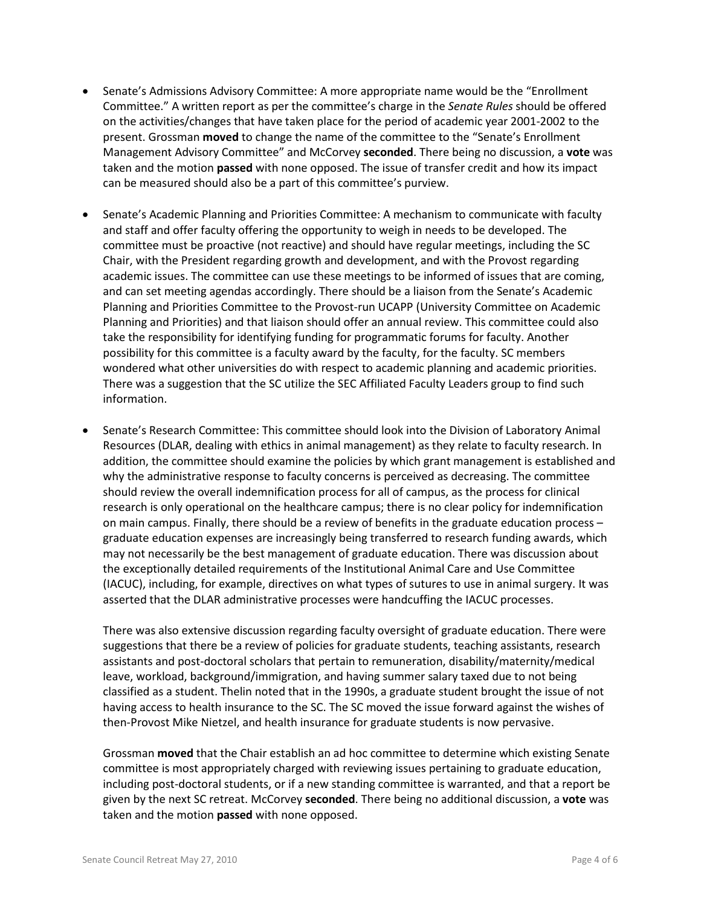- Senate's Admissions Advisory Committee: A more appropriate name would be the "Enrollment Committee." A written report as per the committee's charge in the *Senate Rules* should be offered on the activities/changes that have taken place for the period of academic year 2001-2002 to the present. Grossman **moved** to change the name of the committee to the "Senate's Enrollment Management Advisory Committee" and McCorvey **seconded**. There being no discussion, a **vote** was taken and the motion **passed** with none opposed. The issue of transfer credit and how its impact can be measured should also be a part of this committee's purview.
- Senate's Academic Planning and Priorities Committee: A mechanism to communicate with faculty and staff and offer faculty offering the opportunity to weigh in needs to be developed. The committee must be proactive (not reactive) and should have regular meetings, including the SC Chair, with the President regarding growth and development, and with the Provost regarding academic issues. The committee can use these meetings to be informed of issues that are coming, and can set meeting agendas accordingly. There should be a liaison from the Senate's Academic Planning and Priorities Committee to the Provost-run UCAPP (University Committee on Academic Planning and Priorities) and that liaison should offer an annual review. This committee could also take the responsibility for identifying funding for programmatic forums for faculty. Another possibility for this committee is a faculty award by the faculty, for the faculty. SC members wondered what other universities do with respect to academic planning and academic priorities. There was a suggestion that the SC utilize the SEC Affiliated Faculty Leaders group to find such information.
- Senate's Research Committee: This committee should look into the Division of Laboratory Animal Resources (DLAR, dealing with ethics in animal management) as they relate to faculty research. In addition, the committee should examine the policies by which grant management is established and why the administrative response to faculty concerns is perceived as decreasing. The committee should review the overall indemnification process for all of campus, as the process for clinical research is only operational on the healthcare campus; there is no clear policy for indemnification on main campus. Finally, there should be a review of benefits in the graduate education process – graduate education expenses are increasingly being transferred to research funding awards, which may not necessarily be the best management of graduate education. There was discussion about the exceptionally detailed requirements of the Institutional Animal Care and Use Committee (IACUC), including, for example, directives on what types of sutures to use in animal surgery. It was asserted that the DLAR administrative processes were handcuffing the IACUC processes.

There was also extensive discussion regarding faculty oversight of graduate education. There were suggestions that there be a review of policies for graduate students, teaching assistants, research assistants and post-doctoral scholars that pertain to remuneration, disability/maternity/medical leave, workload, background/immigration, and having summer salary taxed due to not being classified as a student. Thelin noted that in the 1990s, a graduate student brought the issue of not having access to health insurance to the SC. The SC moved the issue forward against the wishes of then-Provost Mike Nietzel, and health insurance for graduate students is now pervasive.

Grossman **moved** that the Chair establish an ad hoc committee to determine which existing Senate committee is most appropriately charged with reviewing issues pertaining to graduate education, including post-doctoral students, or if a new standing committee is warranted, and that a report be given by the next SC retreat. McCorvey **seconded**. There being no additional discussion, a **vote** was taken and the motion **passed** with none opposed.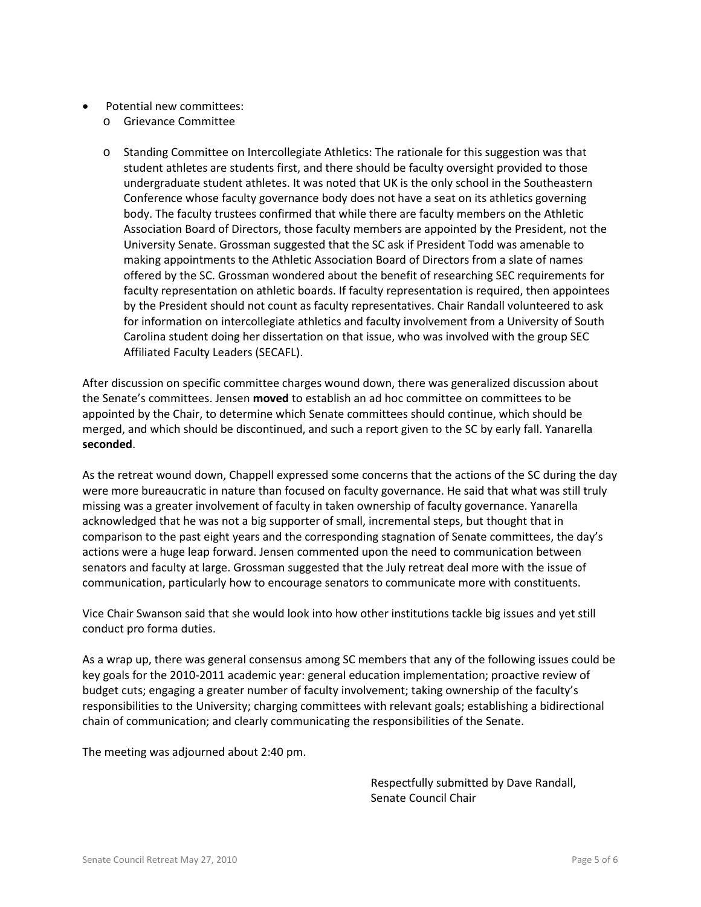- Potential new committees:
	- o Grievance Committee
	- o Standing Committee on Intercollegiate Athletics: The rationale for this suggestion was that student athletes are students first, and there should be faculty oversight provided to those undergraduate student athletes. It was noted that UK is the only school in the Southeastern Conference whose faculty governance body does not have a seat on its athletics governing body. The faculty trustees confirmed that while there are faculty members on the Athletic Association Board of Directors, those faculty members are appointed by the President, not the University Senate. Grossman suggested that the SC ask if President Todd was amenable to making appointments to the Athletic Association Board of Directors from a slate of names offered by the SC. Grossman wondered about the benefit of researching SEC requirements for faculty representation on athletic boards. If faculty representation is required, then appointees by the President should not count as faculty representatives. Chair Randall volunteered to ask for information on intercollegiate athletics and faculty involvement from a University of South Carolina student doing her dissertation on that issue, who was involved with the group SEC Affiliated Faculty Leaders (SECAFL).

After discussion on specific committee charges wound down, there was generalized discussion about the Senate's committees. Jensen **moved** to establish an ad hoc committee on committees to be appointed by the Chair, to determine which Senate committees should continue, which should be merged, and which should be discontinued, and such a report given to the SC by early fall. Yanarella **seconded**.

As the retreat wound down, Chappell expressed some concerns that the actions of the SC during the day were more bureaucratic in nature than focused on faculty governance. He said that what was still truly missing was a greater involvement of faculty in taken ownership of faculty governance. Yanarella acknowledged that he was not a big supporter of small, incremental steps, but thought that in comparison to the past eight years and the corresponding stagnation of Senate committees, the day's actions were a huge leap forward. Jensen commented upon the need to communication between senators and faculty at large. Grossman suggested that the July retreat deal more with the issue of communication, particularly how to encourage senators to communicate more with constituents.

Vice Chair Swanson said that she would look into how other institutions tackle big issues and yet still conduct pro forma duties.

As a wrap up, there was general consensus among SC members that any of the following issues could be key goals for the 2010-2011 academic year: general education implementation; proactive review of budget cuts; engaging a greater number of faculty involvement; taking ownership of the faculty's responsibilities to the University; charging committees with relevant goals; establishing a bidirectional chain of communication; and clearly communicating the responsibilities of the Senate.

The meeting was adjourned about 2:40 pm.

Respectfully submitted by Dave Randall, Senate Council Chair